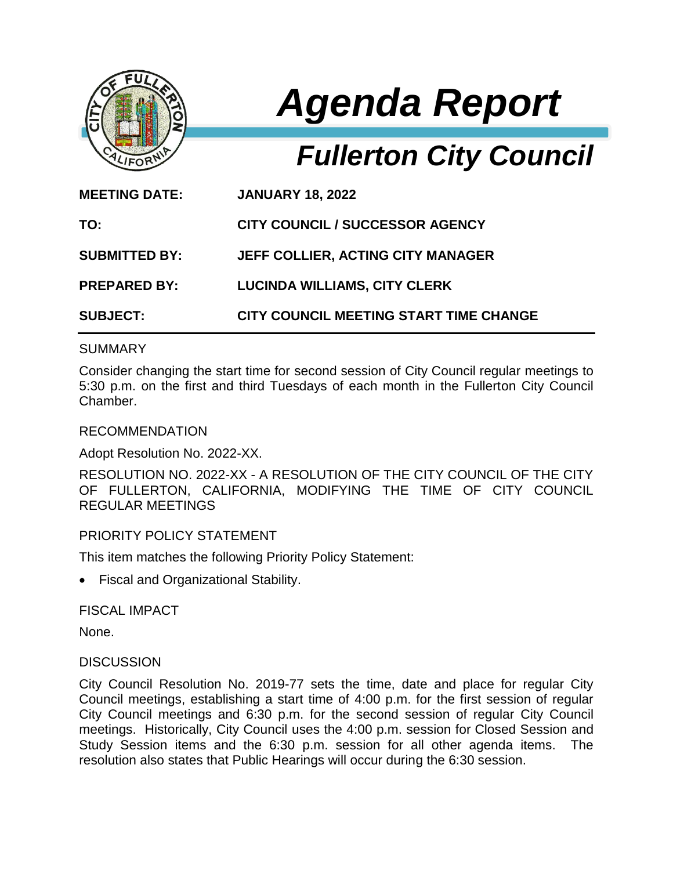

# *Agenda Report*

# *Fullerton City Council*

| <b>MEETING DATE:</b> | <b>JANUARY 18, 2022</b>                  |
|----------------------|------------------------------------------|
| TO:                  | <b>CITY COUNCIL / SUCCESSOR AGENCY</b>   |
| <b>SUBMITTED BY:</b> | <b>JEFF COLLIER, ACTING CITY MANAGER</b> |
| <b>PREPARED BY:</b>  | <b>LUCINDA WILLIAMS, CITY CLERK</b>      |
| <b>SUBJECT:</b>      | CITY COUNCIL MEETING START TIME CHANGE   |

### **SUMMARY**

Consider changing the start time for second session of City Council regular meetings to 5:30 p.m. on the first and third Tuesdays of each month in the Fullerton City Council Chamber.

#### RECOMMENDATION

Adopt Resolution No. 2022-XX.

RESOLUTION NO. 2022-XX - A RESOLUTION OF THE CITY COUNCIL OF THE CITY OF FULLERTON, CALIFORNIA, MODIFYING THE TIME OF CITY COUNCIL REGULAR MEETINGS

## PRIORITY POLICY STATEMENT

This item matches the following Priority Policy Statement:

Fiscal and Organizational Stability.

FISCAL IMPACT

None.

#### **DISCUSSION**

City Council Resolution No. 2019-77 sets the time, date and place for regular City Council meetings, establishing a start time of 4:00 p.m. for the first session of regular City Council meetings and 6:30 p.m. for the second session of regular City Council meetings. Historically, City Council uses the 4:00 p.m. session for Closed Session and Study Session items and the 6:30 p.m. session for all other agenda items. The resolution also states that Public Hearings will occur during the 6:30 session.